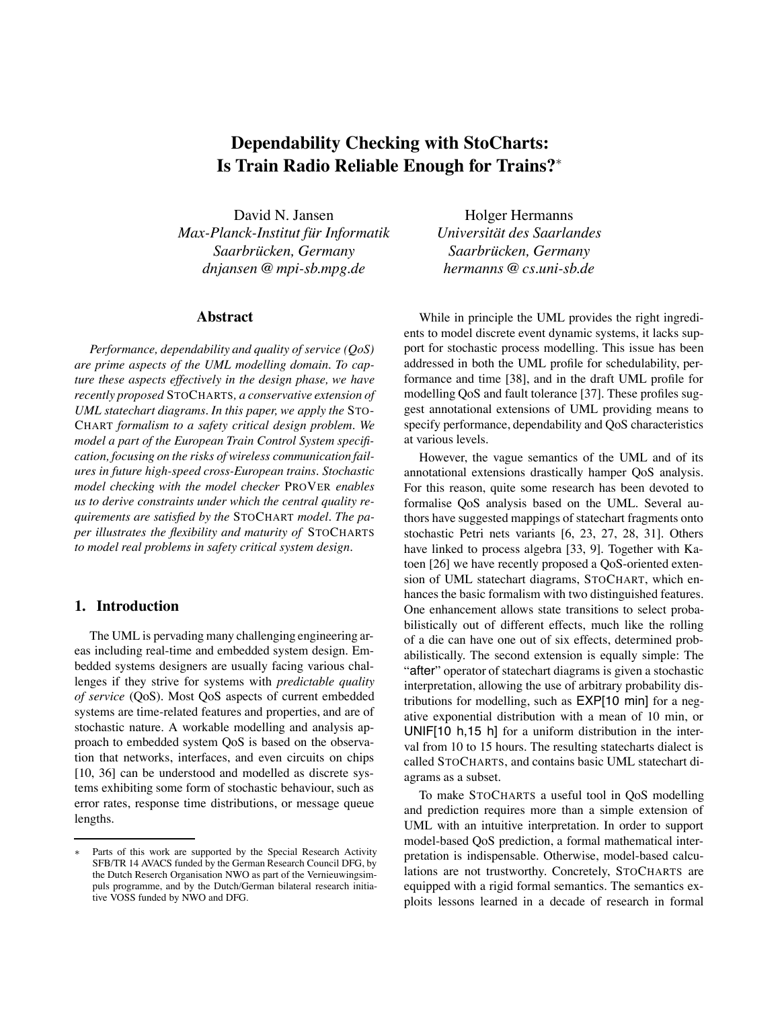# **Dependability Checking with StoCharts: Is Train Radio Reliable Enough for Trains?**<sup>∗</sup>

David N. Jansen *Max-Planck-Institut fur¨ Informatik Saarbruc¨ ken, Germany dnjansen @ mpi-sb.mpg.de*

### **Abstract**

*Performance, dependability and quality of service (QoS) are prime aspects of the UML modelling domain. To capture these aspects effectively in the design phase, we have recently proposed* STOCHARTS*, a conservative extension of UML statechart diagrams. In this paper, we apply the* STO-CHART *formalism to a safety critical design problem. We model a part of the European Train Control System specification, focusing on the risks of wireless communication failures in future high-speed cross-European trains. Stochastic model checking with the model checker* PROVER *enables us to derive constraints under which the central quality requirements are satisfied by the* STOCHART *model. The paper illustrates the flexibility and maturity of* STOCHARTS *to model real problems in safety critical system design.*

### **1. Introduction**

The UML is pervading many challenging engineering areas including real-time and embedded system design. Embedded systems designers are usually facing various challenges if they strive for systems with *predictable quality of service* (QoS). Most QoS aspects of current embedded systems are time-related features and properties, and are of stochastic nature. A workable modelling and analysis approach to embedded system QoS is based on the observation that networks, interfaces, and even circuits on chips [10, 36] can be understood and modelled as discrete systems exhibiting some form of stochastic behaviour, such as error rates, response time distributions, or message queue lengths.

Holger Hermanns *Universitat¨ des Saarlandes Saarbruc¨ ken, Germany hermanns @ cs.uni-sb.de*

While in principle the UML provides the right ingredients to model discrete event dynamic systems, it lacks support for stochastic process modelling. This issue has been addressed in both the UML profile for schedulability, performance and time [38], and in the draft UML profile for modelling QoS and fault tolerance [37]. These profiles suggest annotational extensions of UML providing means to specify performance, dependability and QoS characteristics at various levels.

However, the vague semantics of the UML and of its annotational extensions drastically hamper QoS analysis. For this reason, quite some research has been devoted to formalise QoS analysis based on the UML. Several authors have suggested mappings of statechart fragments onto stochastic Petri nets variants [6, 23, 27, 28, 31]. Others have linked to process algebra [33, 9]. Together with Katoen [26] we have recently proposed a QoS-oriented extension of UML statechart diagrams, STOCHART, which enhances the basic formalism with two distinguished features. One enhancement allows state transitions to select probabilistically out of different effects, much like the rolling of a die can have one out of six effects, determined probabilistically. The second extension is equally simple: The "after" operator of statechart diagrams is given a stochastic interpretation, allowing the use of arbitrary probability distributions for modelling, such as  $EXP[10 min]$  for a negative exponential distribution with a mean of 10 min, or  $UNIF[10 h, 15 h]$  for a uniform distribution in the interval from 10 to 15 hours. The resulting statecharts dialect is called STOCHARTS, and contains basic UML statechart diagrams as a subset.

To make STOCHARTS a useful tool in QoS modelling and prediction requires more than a simple extension of UML with an intuitive interpretation. In order to support model-based QoS prediction, a formal mathematical interpretation is indispensable. Otherwise, model-based calculations are not trustworthy. Concretely, STOCHARTS are equipped with a rigid formal semantics. The semantics exploits lessons learned in a decade of research in formal

Parts of this work are supported by the Special Research Activity SFB/TR 14 AVACS funded by the German Research Council DFG, by the Dutch Reserch Organisation NWO as part of the Vernieuwingsimpuls programme, and by the Dutch/German bilateral research initiative VOSS funded by NWO and DFG.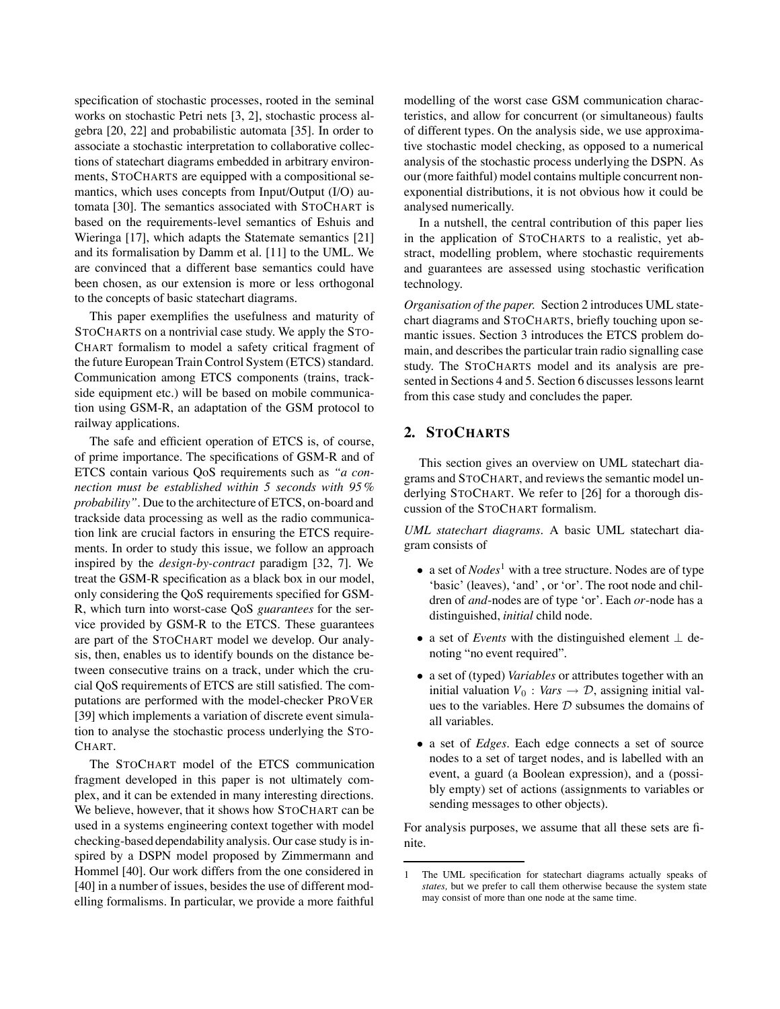specification of stochastic processes, rooted in the seminal works on stochastic Petri nets [3, 2], stochastic process algebra [20, 22] and probabilistic automata [35]. In order to associate a stochastic interpretation to collaborative collections of statechart diagrams embedded in arbitrary environments, STOCHARTS are equipped with a compositional semantics, which uses concepts from Input/Output (I/O) automata [30]. The semantics associated with STOCHART is based on the requirements-level semantics of Eshuis and Wieringa [17], which adapts the Statemate semantics [21] and its formalisation by Damm et al. [11] to the UML. We are convinced that a different base semantics could have been chosen, as our extension is more or less orthogonal to the concepts of basic statechart diagrams.

This paper exemplifies the usefulness and maturity of STOCHARTS on a nontrivial case study. We apply the STO-CHART formalism to model a safety critical fragment of the future European Train Control System (ETCS) standard. Communication among ETCS components (trains, trackside equipment etc.) will be based on mobile communication using GSM-R, an adaptation of the GSM protocol to railway applications.

The safe and efficient operation of ETCS is, of course, of prime importance. The specifications of GSM-R and of ETCS contain various QoS requirements such as *"a connection must be established within 5 seconds with 95 % probability"*. Due to the architecture of ETCS, on-board and trackside data processing as well as the radio communication link are crucial factors in ensuring the ETCS requirements. In order to study this issue, we follow an approach inspired by the *design-by-contract* paradigm [32, 7]. We treat the GSM-R specification as a black box in our model, only considering the QoS requirements specified for GSM-R, which turn into worst-case QoS *guarantees* for the service provided by GSM-R to the ETCS. These guarantees are part of the STOCHART model we develop. Our analysis, then, enables us to identify bounds on the distance between consecutive trains on a track, under which the crucial QoS requirements of ETCS are still satisfied. The computations are performed with the model-checker PROVER [39] which implements a variation of discrete event simulation to analyse the stochastic process underlying the STO-CHART.

The STOCHART model of the ETCS communication fragment developed in this paper is not ultimately complex, and it can be extended in many interesting directions. We believe, however, that it shows how STOCHART can be used in a systems engineering context together with model checking-based dependability analysis. Our case study is inspired by a DSPN model proposed by Zimmermann and Hommel [40]. Our work differs from the one considered in [40] in a number of issues, besides the use of different modelling formalisms. In particular, we provide a more faithful

modelling of the worst case GSM communication characteristics, and allow for concurrent (or simultaneous) faults of different types. On the analysis side, we use approximative stochastic model checking, as opposed to a numerical analysis of the stochastic process underlying the DSPN. As our (more faithful) model contains multiple concurrent nonexponential distributions, it is not obvious how it could be analysed numerically.

In a nutshell, the central contribution of this paper lies in the application of STOCHARTS to a realistic, yet abstract, modelling problem, where stochastic requirements and guarantees are assessed using stochastic verification technology.

*Organisation of the paper.* Section 2 introduces UML statechart diagrams and STOCHARTS, briefly touching upon semantic issues. Section 3 introduces the ETCS problem domain, and describes the particular train radio signalling case study. The STOCHARTS model and its analysis are presented in Sections 4 and 5. Section 6 discusses lessons learnt from this case study and concludes the paper.

# **2. STOCHARTS**

This section gives an overview on UML statechart diagrams and STOCHART, and reviews the semantic model underlying STOCHART. We refer to [26] for a thorough discussion of the STOCHART formalism.

*UML statechart diagrams.* A basic UML statechart diagram consists of

- a set of *Nodes*<sup>1</sup> with a tree structure. Nodes are of type 'basic' (leaves), 'and' , or 'or'. The root node and children of *and*-nodes are of type 'or'. Each *or*-node has a distinguished, *initial* child node.
- a set of *Events* with the distinguished element ⊥ denoting "no event required".
- a set of (typed) *Variables* or attributes together with an initial valuation  $V_0$  : *Vars*  $\rightarrow$  *D*, assigning initial values to the variables. Here  $D$  subsumes the domains of all variables.
- a set of *Edges.* Each edge connects a set of source nodes to a set of target nodes, and is labelled with an event, a guard (a Boolean expression), and a (possibly empty) set of actions (assignments to variables or sending messages to other objects).

For analysis purposes, we assume that all these sets are finite.

<sup>1</sup> The UML specification for statechart diagrams actually speaks of *states,* but we prefer to call them otherwise because the system state may consist of more than one node at the same time.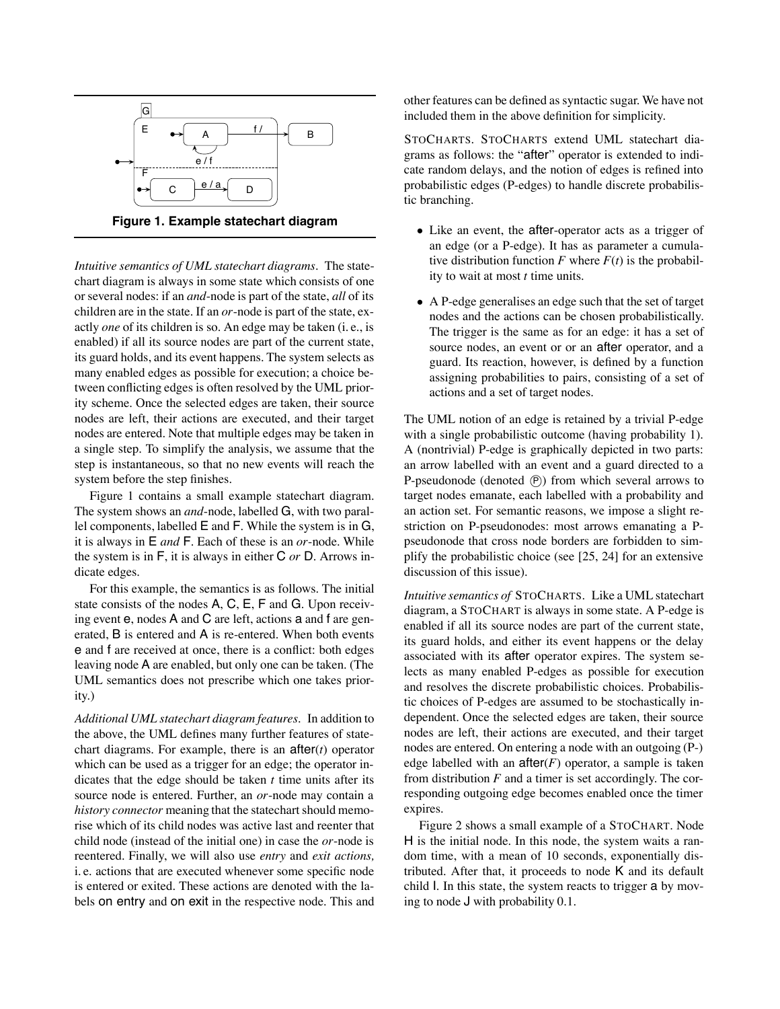

*Intuitive semantics of UML statechart diagrams.* The statechart diagram is always in some state which consists of one or several nodes: if an *and*-node is part of the state, *all* of its children are in the state. If an *or*-node is part of the state, exactly *one* of its children is so. An edge may be taken (i. e., is enabled) if all its source nodes are part of the current state, its guard holds, and its event happens. The system selects as many enabled edges as possible for execution; a choice between conflicting edges is often resolved by the UML priority scheme. Once the selected edges are taken, their source nodes are left, their actions are executed, and their target nodes are entered. Note that multiple edges may be taken in a single step. To simplify the analysis, we assume that the step is instantaneous, so that no new events will reach the system before the step finishes.

Figure 1 contains a small example statechart diagram. The system shows an *and*-node, labelled G, with two parallel components, labelled  $E$  and  $F$ . While the system is in  $G$ , it is always in  $E$  *and*  $F$ . Each of these is an *or*-node. While the system is in F, it is always in either C or D. Arrows indicate edges.

For this example, the semantics is as follows. The initial state consists of the nodes  $A, C, E, F$  and  $G$ . Upon receiving event  $e$ , nodes  $A$  and  $C$  are left, actions  $a$  and  $f$  are generated, B is entered and A is re-entered. When both events  $e$  and f are received at once, there is a conflict: both edges leaving node A are enabled, but only one can be taken. (The UML semantics does not prescribe which one takes priority.)

*Additional UML statechart diagram features.* In addition to the above, the UML defines many further features of statechart diagrams. For example, there is an  $after(t)$  operator which can be used as a trigger for an edge; the operator indicates that the edge should be taken *t* time units after its source node is entered. Further, an *or*-node may contain a *history connector* meaning that the statechart should memorise which of its child nodes was active last and reenter that child node (instead of the initial one) in case the *or*-node is reentered. Finally, we will also use *entry* and *exit actions,* i. e. actions that are executed whenever some specific node is entered or exited. These actions are denoted with the labels on entry and on exit in the respective node. This and other features can be defined as syntactic sugar. We have not included them in the above definition for simplicity.

STOCHARTS*.* STOCHARTS extend UML statechart diagrams as follows: the "after" operator is extended to indicate random delays, and the notion of edges is refined into probabilistic edges (P-edges) to handle discrete probabilistic branching.

- Like an event, the after-operator acts as a trigger of an edge (or a P-edge). It has as parameter a cumulative distribution function  $F$  where  $F(t)$  is the probability to wait at most *t* time units.
- A P-edge generalises an edge such that the set of target nodes and the actions can be chosen probabilistically. The trigger is the same as for an edge: it has a set of source nodes, an event or or an **after** operator, and a guard. Its reaction, however, is defined by a function assigning probabilities to pairs, consisting of a set of actions and a set of target nodes.

The UML notion of an edge is retained by a trivial P-edge with a single probabilistic outcome (having probability 1). A (nontrivial) P-edge is graphically depicted in two parts: an arrow labelled with an event and a guard directed to a P-pseudonode (denoted  $(P)$ ) from which several arrows to target nodes emanate, each labelled with a probability and an action set. For semantic reasons, we impose a slight restriction on P-pseudonodes: most arrows emanating a Ppseudonode that cross node borders are forbidden to simplify the probabilistic choice (see [25, 24] for an extensive discussion of this issue).

*Intuitive semantics of* STOCHARTS*.* Like a UML statechart diagram, a STOCHART is always in some state. A P-edge is enabled if all its source nodes are part of the current state, its guard holds, and either its event happens or the delay associated with its after operator expires. The system selects as many enabled P-edges as possible for execution and resolves the discrete probabilistic choices. Probabilistic choices of P-edges are assumed to be stochastically independent. Once the selected edges are taken, their source nodes are left, their actions are executed, and their target nodes are entered. On entering a node with an outgoing (P-) edge labelled with an  $\text{after}(F)$  operator, a sample is taken from distribution *F* and a timer is set accordingly. The corresponding outgoing edge becomes enabled once the timer expires.

Figure 2 shows a small example of a STOCHART. Node H is the initial node. In this node, the system waits a random time, with a mean of 10 seconds, exponentially distributed. After that, it proceeds to node  $K$  and its default child l. In this state, the system reacts to trigger a by moving to node  $J$  with probability 0.1.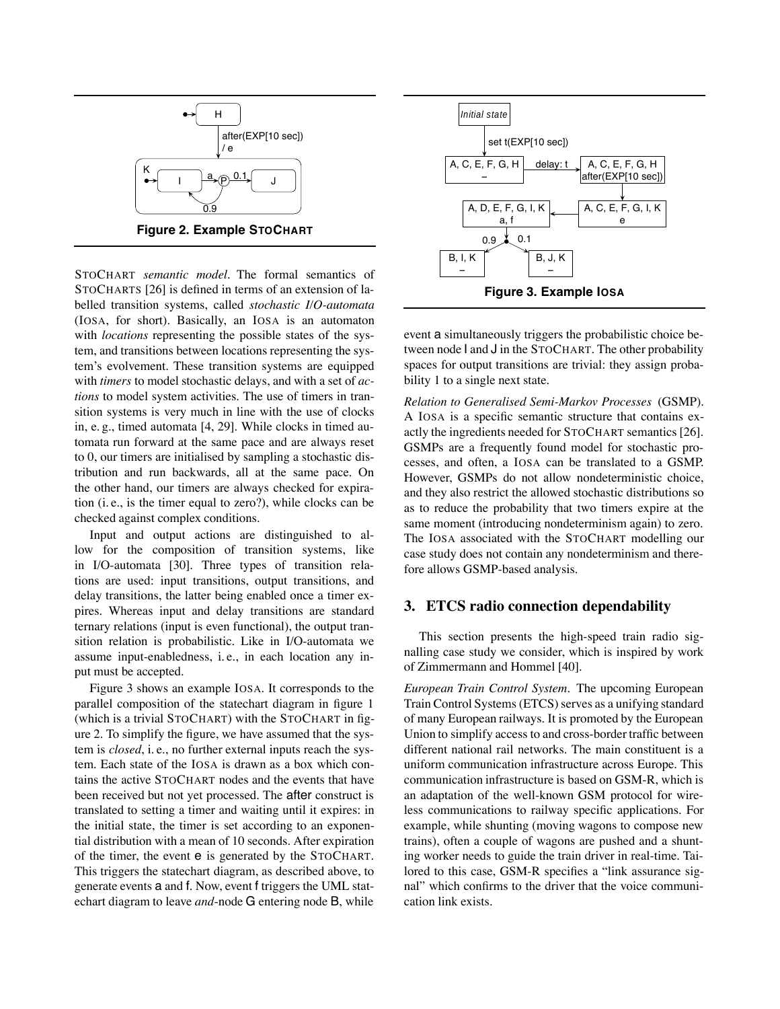

STOCHART *semantic model.* The formal semantics of STOCHARTS [26] is defined in terms of an extension of labelled transition systems, called *stochastic I/O-automata* (IOSA, for short). Basically, an IOSA is an automaton with *locations* representing the possible states of the system, and transitions between locations representing the system's evolvement. These transition systems are equipped with *timers* to model stochastic delays, and with a set of *actions* to model system activities. The use of timers in transition systems is very much in line with the use of clocks in, e. g., timed automata [4, 29]. While clocks in timed automata run forward at the same pace and are always reset to 0, our timers are initialised by sampling a stochastic distribution and run backwards, all at the same pace. On the other hand, our timers are always checked for expiration (i. e., is the timer equal to zero?), while clocks can be checked against complex conditions.

Input and output actions are distinguished to allow for the composition of transition systems, like in I/O-automata [30]. Three types of transition relations are used: input transitions, output transitions, and delay transitions, the latter being enabled once a timer expires. Whereas input and delay transitions are standard ternary relations (input is even functional), the output transition relation is probabilistic. Like in I/O-automata we assume input-enabledness, i. e., in each location any input must be accepted.

Figure 3 shows an example IOSA. It corresponds to the parallel composition of the statechart diagram in figure 1 (which is a trivial STOCHART) with the STOCHART in figure 2. To simplify the figure, we have assumed that the system is *closed*, i. e., no further external inputs reach the system. Each state of the IOSA is drawn as a box which contains the active STOCHART nodes and the events that have been received but not yet processed. The after construct is translated to setting a timer and waiting until it expires: in the initial state, the timer is set according to an exponential distribution with a mean of 10 seconds. After expiration of the timer, the event  $e$  is generated by the STOCHART. This triggers the statechart diagram, as described above, to generate events **a** and **f**. Now, event **f** triggers the UML statechart diagram to leave *and*-node G entering node B, while



event a simultaneously triggers the probabilistic choice between node I and J in the STOCHART. The other probability spaces for output transitions are trivial: they assign probability 1 to a single next state.

*Relation to Generalised Semi-Markov Processes* (GSMP). A IOSA is a specific semantic structure that contains exactly the ingredients needed for STOCHART semantics[26]. GSMPs are a frequently found model for stochastic processes, and often, a IOSA can be translated to a GSMP. However, GSMPs do not allow nondeterministic choice, and they also restrict the allowed stochastic distributions so as to reduce the probability that two timers expire at the same moment (introducing nondeterminism again) to zero. The IOSA associated with the STOCHART modelling our case study does not contain any nondeterminism and therefore allows GSMP-based analysis.

### **3. ETCS radio connection dependability**

This section presents the high-speed train radio signalling case study we consider, which is inspired by work of Zimmermann and Hommel [40].

*European Train Control System.* The upcoming European Train Control Systems (ETCS) serves as a unifying standard of many European railways. It is promoted by the European Union to simplify access to and cross-border traffic between different national rail networks. The main constituent is a uniform communication infrastructure across Europe. This communication infrastructure is based on GSM-R, which is an adaptation of the well-known GSM protocol for wireless communications to railway specific applications. For example, while shunting (moving wagons to compose new trains), often a couple of wagons are pushed and a shunting worker needs to guide the train driver in real-time. Tailored to this case, GSM-R specifies a "link assurance signal" which confirms to the driver that the voice communication link exists.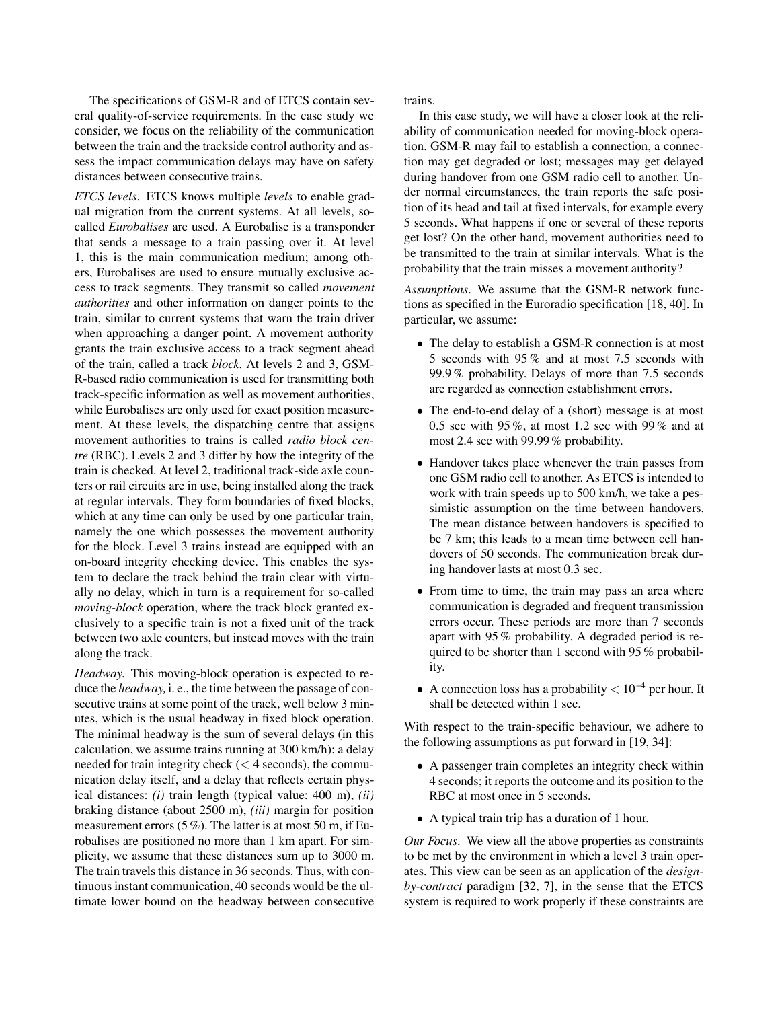The specifications of GSM-R and of ETCS contain several quality-of-service requirements. In the case study we consider, we focus on the reliability of the communication between the train and the trackside control authority and assess the impact communication delays may have on safety distances between consecutive trains.

*ETCS levels.* ETCS knows multiple *levels* to enable gradual migration from the current systems. At all levels, socalled *Eurobalises* are used. A Eurobalise is a transponder that sends a message to a train passing over it. At level 1, this is the main communication medium; among others, Eurobalises are used to ensure mutually exclusive access to track segments. They transmit so called *movement authorities* and other information on danger points to the train, similar to current systems that warn the train driver when approaching a danger point. A movement authority grants the train exclusive access to a track segment ahead of the train, called a track *block*. At levels 2 and 3, GSM-R-based radio communication is used for transmitting both track-specific information as well as movement authorities, while Eurobalises are only used for exact position measurement. At these levels, the dispatching centre that assigns movement authorities to trains is called *radio block centre* (RBC). Levels 2 and 3 differ by how the integrity of the train is checked. At level 2, traditional track-side axle counters or rail circuits are in use, being installed along the track at regular intervals. They form boundaries of fixed blocks, which at any time can only be used by one particular train, namely the one which possesses the movement authority for the block. Level 3 trains instead are equipped with an on-board integrity checking device. This enables the system to declare the track behind the train clear with virtually no delay, which in turn is a requirement for so-called *moving-block* operation, where the track block granted exclusively to a specific train is not a fixed unit of the track between two axle counters, but instead moves with the train along the track.

*Headway.* This moving-block operation is expected to reduce the *headway,* i. e., the time between the passage of consecutive trains at some point of the track, well below 3 minutes, which is the usual headway in fixed block operation. The minimal headway is the sum of several delays (in this calculation, we assume trains running at 300 km/h): a delay needed for train integrity check  $(< 4$  seconds), the communication delay itself, and a delay that reflects certain physical distances: *(i)* train length (typical value: 400 m), *(ii)* braking distance (about 2500 m), *(iii)* margin for position measurement errors (5 %). The latter is at most 50 m, if Eurobalises are positioned no more than 1 km apart. For simplicity, we assume that these distances sum up to 3000 m. The train travels this distance in 36 seconds. Thus, with continuous instant communication, 40 seconds would be the ultimate lower bound on the headway between consecutive trains.

In this case study, we will have a closer look at the reliability of communication needed for moving-block operation. GSM-R may fail to establish a connection, a connection may get degraded or lost; messages may get delayed during handover from one GSM radio cell to another. Under normal circumstances, the train reports the safe position of its head and tail at fixed intervals, for example every 5 seconds. What happens if one or several of these reports get lost? On the other hand, movement authorities need to be transmitted to the train at similar intervals. What is the probability that the train misses a movement authority?

*Assumptions.* We assume that the GSM-R network functions as specified in the Euroradio specification [18, 40]. In particular, we assume:

- The delay to establish a GSM-R connection is at most 5 seconds with 95 % and at most 7.5 seconds with 99.9 % probability. Delays of more than 7.5 seconds are regarded as connection establishment errors.
- The end-to-end delay of a (short) message is at most 0.5 sec with 95%, at most 1.2 sec with 99% and at most 2.4 sec with 99.99% probability.
- Handover takes place whenever the train passes from one GSM radio cell to another. As ETCS is intended to work with train speeds up to 500 km/h, we take a pessimistic assumption on the time between handovers. The mean distance between handovers is specified to be 7 km; this leads to a mean time between cell handovers of 50 seconds. The communication break during handover lasts at most 0.3 sec.
- From time to time, the train may pass an area where communication is degraded and frequent transmission errors occur. These periods are more than 7 seconds apart with 95 % probability. A degraded period is required to be shorter than 1 second with 95 % probability.
- A connection loss has a probability  $< 10^{-4}$  per hour. It shall be detected within 1 sec.

With respect to the train-specific behaviour, we adhere to the following assumptions as put forward in [19, 34]:

- A passenger train completes an integrity check within 4 seconds; it reports the outcome and its position to the RBC at most once in 5 seconds.
- A typical train trip has a duration of 1 hour.

*Our Focus.* We view all the above properties as constraints to be met by the environment in which a level 3 train operates. This view can be seen as an application of the *designby-contract* paradigm [32, 7], in the sense that the ETCS system is required to work properly if these constraints are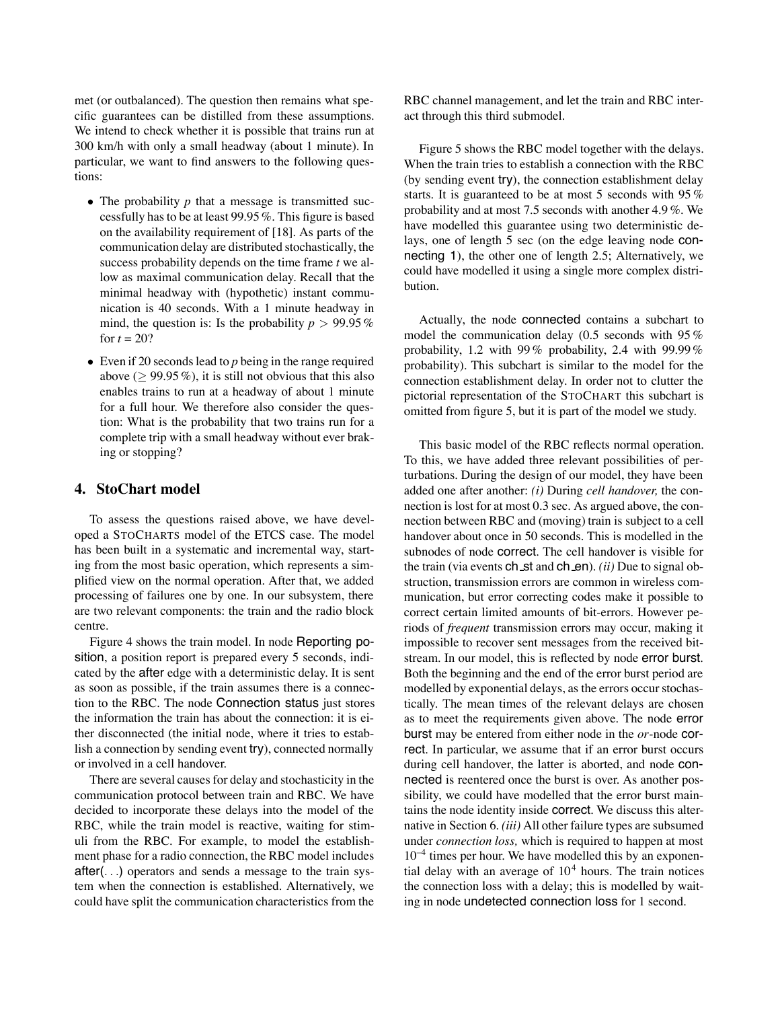met (or outbalanced). The question then remains what specific guarantees can be distilled from these assumptions. We intend to check whether it is possible that trains run at 300 km/h with only a small headway (about 1 minute). In particular, we want to find answers to the following questions:

- The probability *p* that a message is transmitted successfully hasto be at least 99.95%. This figure is based on the availability requirement of [18]. As parts of the communication delay are distributed stochastically, the success probability depends on the time frame *t* we allow as maximal communication delay. Recall that the minimal headway with (hypothetic) instant communication is 40 seconds. With a 1 minute headway in mind, the question is: Is the probability  $p > 99.95\%$ for  $t = 20$ ?
- Even if 20 seconds lead to *p* being in the range required above ( $\geq 99.95\%$ ), it is still not obvious that this also enables trains to run at a headway of about 1 minute for a full hour. We therefore also consider the question: What is the probability that two trains run for a complete trip with a small headway without ever braking or stopping?

# **4. StoChart model**

To assess the questions raised above, we have developed a STOCHARTS model of the ETCS case. The model has been built in a systematic and incremental way, starting from the most basic operation, which represents a simplified view on the normal operation. After that, we added processing of failures one by one. In our subsystem, there are two relevant components: the train and the radio block centre.

Figure 4 shows the train model. In node Reporting position, a position report is prepared every 5 seconds, indicated by the after edge with a deterministic delay. It is sent as soon as possible, if the train assumes there is a connection to the RBC. The node Connection status just stores the information the train has about the connection: it is either disconnected (the initial node, where it tries to establish a connection by sending event try), connected normally or involved in a cell handover.

There are several causes for delay and stochasticity in the communication protocol between train and RBC. We have decided to incorporate these delays into the model of the RBC, while the train model is reactive, waiting for stimuli from the RBC. For example, to model the establishment phase for a radio connection, the RBC model includes  $after(...)$  operators and sends a message to the train system when the connection is established. Alternatively, we could have split the communication characteristics from the RBC channel management, and let the train and RBC interact through this third submodel.

Figure 5 shows the RBC model together with the delays. When the train tries to establish a connection with the RBC (by sending event  $try$ ), the connection establishment delay starts. It is guaranteed to be at most 5 seconds with 95 % probability and at most 7.5 seconds with another 4.9 %. We have modelled this guarantee using two deterministic delays, one of length 5 sec (on the edge leaving node connecting  $1$ ), the other one of length 2.5; Alternatively, we could have modelled it using a single more complex distribution.

Actually, the node connected contains a subchart to model the communication delay (0.5 seconds with 95 % probability, 1.2 with 99 % probability, 2.4 with 99.99% probability). This subchart is similar to the model for the connection establishment delay. In order not to clutter the pictorial representation of the STOCHART this subchart is omitted from figure 5, but it is part of the model we study.

This basic model of the RBC reflects normal operation. To this, we have added three relevant possibilities of perturbations. During the design of our model, they have been added one after another: *(i)* During *cell handover,* the connection is lost for at most 0.3 sec. As argued above, the connection between RBC and (moving) train is subject to a cell handover about once in 50 seconds. This is modelled in the subnodes of node **correct**. The cell handover is visible for the train (via events  $ch$   $St$  and  $ch$   $en$ ). *(ii)* Due to signal obstruction, transmission errors are common in wireless communication, but error correcting codes make it possible to correct certain limited amounts of bit-errors. However periods of *frequent* transmission errors may occur, making it impossible to recover sent messages from the received bitstream. In our model, this is reflected by node error burst. Both the beginning and the end of the error burst period are modelled by exponential delays, as the errors occur stochastically. The mean times of the relevant delays are chosen as to meet the requirements given above. The node error burst may be entered from either node in the *or*-node correct. In particular, we assume that if an error burst occurs during cell handover, the latter is aborted, and node connected is reentered once the burst is over. As another possibility, we could have modelled that the error burst maintains the node identity inside **correct**. We discuss this alternative in Section 6. *(iii)* All other failure types are subsumed under *connection loss,* which is required to happen at most  $10^{-4}$  times per hour. We have modelled this by an exponential delay with an average of  $10<sup>4</sup>$  hours. The train notices the connection loss with a delay; this is modelled by waiting in node undetected connection loss for 1 second.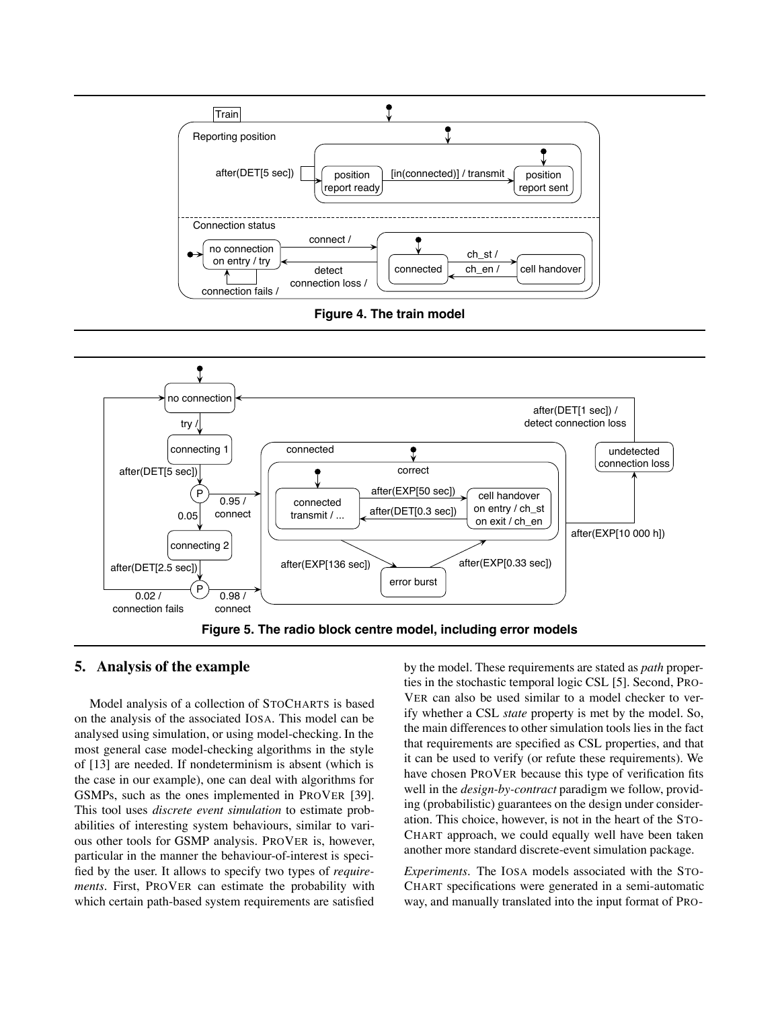



#### **5. Analysis of the example**

Model analysis of a collection of STOCHARTS is based on the analysis of the associated IOSA. This model can be analysed using simulation, or using model-checking. In the most general case model-checking algorithms in the style of [13] are needed. If nondeterminism is absent (which is the case in our example), one can deal with algorithms for GSMPs, such as the ones implemented in PROVER [39]. This tool uses *discrete event simulation* to estimate probabilities of interesting system behaviours, similar to various other tools for GSMP analysis. PROVER is, however, particular in the manner the behaviour-of-interest is specified by the user. It allows to specify two types of *requirements*. First, PROVER can estimate the probability with which certain path-based system requirements are satisfied

by the model. These requirements are stated as *path* properties in the stochastic temporal logic CSL [5]. Second, PRO-VER can also be used similar to a model checker to verify whether a CSL *state* property is met by the model. So, the main differences to other simulation tools lies in the fact that requirements are specified as CSL properties, and that it can be used to verify (or refute these requirements). We have chosen PROVER because this type of verification fits well in the *design-by-contract* paradigm we follow, providing (probabilistic) guarantees on the design under consideration. This choice, however, is not in the heart of the STO-CHART approach, we could equally well have been taken another more standard discrete-event simulation package.

*Experiments.* The IOSA models associated with the STO-CHART specifications were generated in a semi-automatic way, and manually translated into the input format of PRO-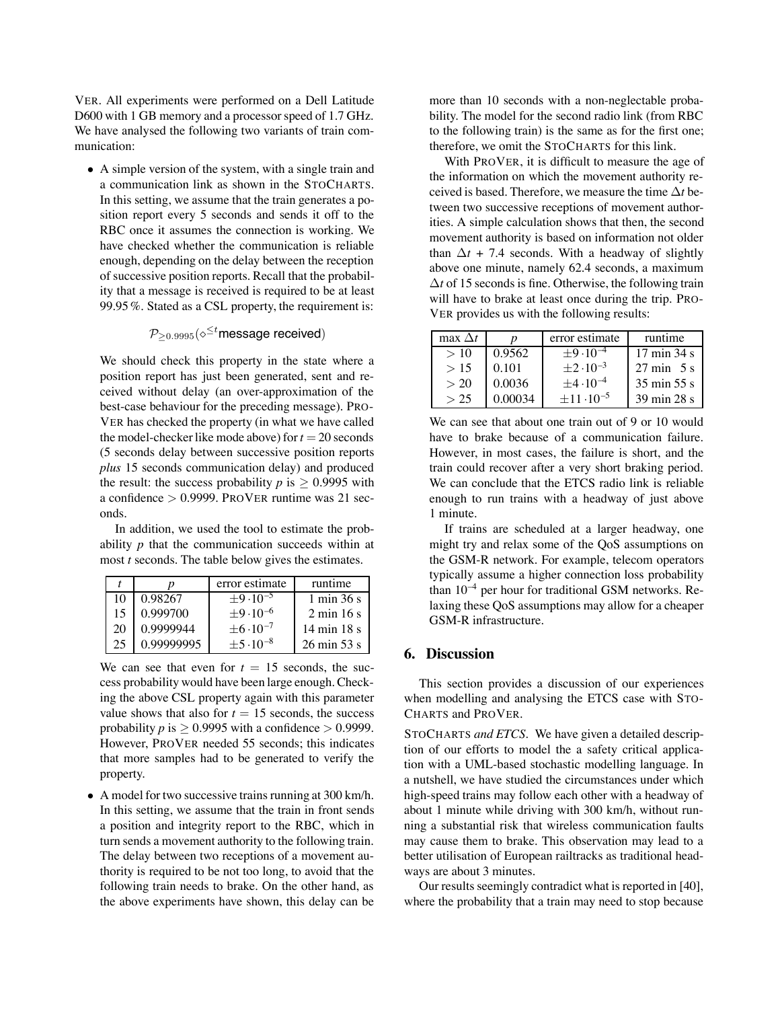VER. All experiments were performed on a Dell Latitude D600 with 1 GB memory and a processor speed of 1.7 GHz. We have analysed the following two variants of train communication:

• A simple version of the system, with a single train and a communication link as shown in the STOCHARTS. In this setting, we assume that the train generates a position report every 5 seconds and sends it off to the RBC once it assumes the connection is working. We have checked whether the communication is reliable enough, depending on the delay between the reception of successive position reports. Recall that the probability that a message is received is required to be at least 99.95%. Stated as a CSL property, the requirement is:

# $\mathcal{P}_{\geq 0.9995}(\diamond^{\leq t}$ message received)

We should check this property in the state where a position report has just been generated, sent and received without delay (an over-approximation of the best-case behaviour for the preceding message). PRO-VER has checked the property (in what we have called the model-checker like mode above) for  $t = 20$  seconds (5 seconds delay between successive position reports *plus* 15 seconds communication delay) and produced the result: the success probability  $p$  is  $\geq 0.9995$  with a confidence > 0.9999. PROVER runtime was 21 seconds.

In addition, we used the tool to estimate the probability *p* that the communication succeeds within at most *t* seconds. The table below gives the estimates.

|    |            | error estimate  | runtime                        |
|----|------------|-----------------|--------------------------------|
| 10 | 0.98267    | $+9.10^{-5}$    | $1 \text{ min } 36 \text{ s}$  |
| 15 | 0.999700   | $\pm 9.10^{-6}$ | $2 \text{ min } 16 \text{ s}$  |
| 20 | 0.9999944  | $\pm 6.10^{-7}$ | $14 \text{ min } 18 \text{ s}$ |
| 25 | 0.99999995 | $+5.10^{-8}$    | $26 \text{ min } 53 \text{ s}$ |

We can see that even for  $t = 15$  seconds, the success probability would have been large enough.Checking the above CSL property again with this parameter value shows that also for  $t = 15$  seconds, the success probability *p* is  $\geq$  0.9995 with a confidence  $>$  0.9999. However, PROVER needed 55 seconds; this indicates that more samples had to be generated to verify the property.

• A model for two successive trains running at  $300 \text{ km/h}$ . In this setting, we assume that the train in front sends a position and integrity report to the RBC, which in turn sends a movement authority to the following train. The delay between two receptions of a movement authority is required to be not too long, to avoid that the following train needs to brake. On the other hand, as the above experiments have shown, this delay can be more than 10 seconds with a non-neglectable probability. The model for the second radio link (from RBC to the following train) is the same as for the first one; therefore, we omit the STOCHARTS for this link.

With PROVER, it is difficult to measure the age of the information on which the movement authority received is based. Therefore, we measure the time ∆*t* between two successive receptions of movement authorities. A simple calculation shows that then, the second movement authority is based on information not older than  $\Delta t$  + 7.4 seconds. With a headway of slightly above one minute, namely 62.4 seconds, a maximum  $\Delta t$  of 15 seconds is fine. Otherwise, the following train will have to brake at least once during the trip. PRO-VER provides us with the following results:

| max $\Delta t$ |         | error estimate         | runtime                        |
|----------------|---------|------------------------|--------------------------------|
| >10            | 0.9562  | $\pm 9.10^{-4}$        | $17 \text{ min } 34 \text{ s}$ |
| > 15           | 0.101   | $\pm 2.10^{-3}$        | $27 \text{ min}$ 5 s           |
| > 20           | 0.0036  | $\pm 4.10^{-4}$        | 35 min 55 s                    |
| > 25           | 0.00034 | $\pm 11 \cdot 10^{-5}$ | 39 min 28 s                    |

We can see that about one train out of 9 or 10 would have to brake because of a communication failure. However, in most cases, the failure is short, and the train could recover after a very short braking period. We can conclude that the ETCS radio link is reliable enough to run trains with a headway of just above 1 minute.

If trains are scheduled at a larger headway, one might try and relax some of the QoS assumptions on the GSM-R network. For example, telecom operators typically assume a higher connection loss probability than  $10^{-4}$  per hour for traditional GSM networks. Relaxing these QoS assumptions may allow for a cheaper GSM-R infrastructure.

# **6. Discussion**

This section provides a discussion of our experiences when modelling and analysing the ETCS case with STO-CHARTS and PROVER.

STOCHARTS *and ETCS.* We have given a detailed description of our efforts to model the a safety critical application with a UML-based stochastic modelling language. In a nutshell, we have studied the circumstances under which high-speed trains may follow each other with a headway of about 1 minute while driving with 300 km/h, without running a substantial risk that wireless communication faults may cause them to brake. This observation may lead to a better utilisation of European railtracks as traditional headways are about 3 minutes.

Our results seemingly contradict what is reported in [40], where the probability that a train may need to stop because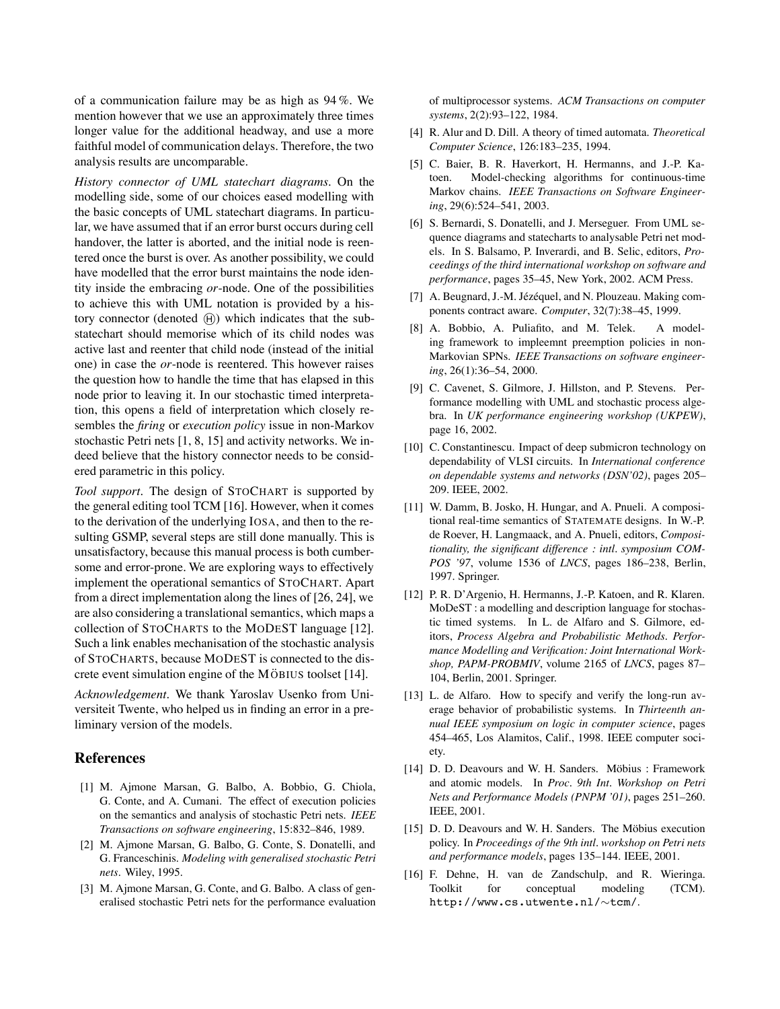of a communication failure may be as high as 94 %. We mention however that we use an approximately three times longer value for the additional headway, and use a more faithful model of communication delays. Therefore, the two analysis results are uncomparable.

*History connector of UML statechart diagrams.* On the modelling side, some of our choices eased modelling with the basic concepts of UML statechart diagrams. In particular, we have assumed that if an error burst occurs during cell handover, the latter is aborted, and the initial node is reentered once the burst is over. As another possibility, we could have modelled that the error burst maintains the node identity inside the embracing *or*-node. One of the possibilities to achieve this with UML notation is provided by a history connector (denoted  $(h)$ ) which indicates that the substatechart should memorise which of its child nodes was active last and reenter that child node (instead of the initial one) in case the *or*-node is reentered. This however raises the question how to handle the time that has elapsed in this node prior to leaving it. In our stochastic timed interpretation, this opens a field of interpretation which closely resembles the *firing* or *execution policy* issue in non-Markov stochastic Petri nets [1, 8, 15] and activity networks. We indeed believe that the history connector needs to be considered parametric in this policy.

*Tool support.* The design of STOCHART is supported by the general editing tool TCM [16]. However, when it comes to the derivation of the underlying IOSA, and then to the resulting GSMP, several steps are still done manually. This is unsatisfactory, because this manual process is both cumbersome and error-prone. We are exploring ways to effectively implement the operational semantics of STOCHART. Apart from a direct implementation along the lines of [26, 24], we are also considering a translational semantics, which maps a collection of STOCHARTS to the MODEST language [12]. Such a link enables mechanisation of the stochastic analysis of STOCHARTS, because MODEST is connected to the discrete event simulation engine of the MÖBIUS toolset [14].

*Acknowledgement.* We thank Yaroslav Usenko from Universiteit Twente, who helped us in finding an error in a preliminary version of the models.

#### **References**

- [1] M. Ajmone Marsan, G. Balbo, A. Bobbio, G. Chiola, G. Conte, and A. Cumani. The effect of execution policies on the semantics and analysis of stochastic Petri nets. *IEEE Transactions on software engineering*, 15:832–846, 1989.
- [2] M. Ajmone Marsan, G. Balbo, G. Conte, S. Donatelli, and G. Franceschinis. *Modeling with generalised stochastic Petri nets*. Wiley, 1995.
- [3] M. Ajmone Marsan, G. Conte, and G. Balbo. A class of generalised stochastic Petri nets for the performance evaluation

of multiprocessor systems. *ACM Transactions on computer systems*, 2(2):93–122, 1984.

- [4] R. Alur and D. Dill. A theory of timed automata. *Theoretical Computer Science*, 126:183–235, 1994.
- [5] C. Baier, B. R. Haverkort, H. Hermanns, and J.-P. Katoen. Model-checking algorithms for continuous-time Markov chains. *IEEE Transactions on Software Engineering*, 29(6):524–541, 2003.
- [6] S. Bernardi, S. Donatelli, and J. Merseguer. From UML sequence diagrams and statecharts to analysable Petri net models. In S. Balsamo, P. Inverardi, and B. Selic, editors, *Proceedings of the third international workshop on software and performance*, pages 35–45, New York, 2002. ACM Press.
- [7] A. Beugnard, J.-M. Jézéquel, and N. Plouzeau. Making components contract aware. *Computer*, 32(7):38–45, 1999.
- [8] A. Bobbio, A. Puliafito, and M. Telek. A modeling framework to impleemnt preemption policies in non-Markovian SPNs. *IEEE Transactions on software engineering*, 26(1):36–54, 2000.
- [9] C. Cavenet, S. Gilmore, J. Hillston, and P. Stevens. Performance modelling with UML and stochastic process algebra. In *UK performance engineering workshop (UKPEW)*, page 16, 2002.
- [10] C. Constantinescu. Impact of deep submicron technology on dependability of VLSI circuits. In *International conference on dependable systems and networks (DSN'02)*, pages 205– 209. IEEE, 2002.
- [11] W. Damm, B. Josko, H. Hungar, and A. Pnueli. A compositional real-time semantics of STATEMATE designs. In W.-P. de Roever, H. Langmaack, and A. Pnueli, editors, *Compositionality, the significant difference : intl. symposium COM-POS '97*, volume 1536 of *LNCS*, pages 186–238, Berlin, 1997. Springer.
- [12] P. R. D'Argenio, H. Hermanns, J.-P. Katoen, and R. Klaren. MoDeST : a modelling and description language for stochastic timed systems. In L. de Alfaro and S. Gilmore, editors, *Process Algebra and Probabilistic Methods. Performance Modelling and Verification: Joint International Workshop, PAPM-PROBMIV*, volume 2165 of *LNCS*, pages 87– 104, Berlin, 2001. Springer.
- [13] L. de Alfaro. How to specify and verify the long-run average behavior of probabilistic systems. In *Thirteenth annual IEEE symposium on logic in computer science*, pages 454–465, Los Alamitos, Calif., 1998. IEEE computer society.
- [14] D. D. Deavours and W. H. Sanders. Möbius : Framework and atomic models. In *Proc. 9th Int. Workshop on Petri Nets and Performance Models (PNPM '01)*, pages 251–260. IEEE, 2001.
- [15] D. D. Deavours and W. H. Sanders. The Möbius execution policy. In *Proceedings of the 9th intl. workshop on Petri nets and performance models*, pages 135–144. IEEE, 2001.
- [16] F. Dehne, H. van de Zandschulp, and R. Wieringa. Toolkit for conceptual modeling (TCM). http://www.cs.utwente.nl/∼tcm/.